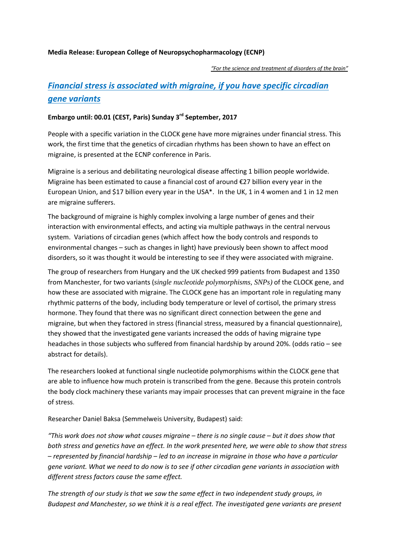#### **Media Release: European College of Neuropsychopharmacology (ECNP)**

*"For the science and treatment of disorders of the brain"*

# *Financial stress is associated with migraine, if you have specific circadian gene variants*

## **Embargo until: 00.01 (CEST, Paris) Sunday 3rd September, 2017**

People with a specific variation in the CLOCK gene have more migraines under financial stress. This work, the first time that the genetics of circadian rhythms has been shown to have an effect on migraine, is presented at the ECNP conference in Paris.

Migraine is a serious and debilitating neurological disease affecting 1 billion people worldwide. Migraine has been estimated to cause a financial cost of around €27 billion every year in the European Union, and \$17 billion every year in the USA\*. In the UK, 1 in 4 women and 1 in 12 men are migraine sufferers.

The background of migraine is highly complex involving a large number of genes and their interaction with environmental effects, and acting via multiple pathways in the central nervous system. Variations of circadian genes (which affect how the body controls and responds to environmental changes – such as changes in light) have previously been shown to affect mood disorders, so it was thought it would be interesting to see if they were associated with migraine.

The group of researchers from Hungary and the UK checked 999 patients from Budapest and 1350 from Manchester, for two variants (*single nucleotide polymorphisms, SNPs)* of the CLOCK gene, and how these are associated with migraine. The CLOCK gene has an important role in regulating many rhythmic patterns of the body, including body temperature or level of cortisol, the primary stress hormone. They found that there was no significant direct connection between the gene and migraine, but when they factored in stress (financial stress, measured by a financial questionnaire), they showed that the investigated gene variants increased the odds of having migraine type headaches in those subjects who suffered from financial hardship by around 20%. (odds ratio – see abstract for details).

The researchers looked at functional single nucleotide polymorphisms within the CLOCK gene that are able to influence how much protein is transcribed from the gene. Because this protein controls the body clock machinery these variants may impair processes that can prevent migraine in the face of stress.

Researcher Daniel Baksa (Semmelweis University, Budapest) said:

*"This work does not show what causes migraine – there is no single cause – but it does show that both stress and genetics have an effect. In the work presented here, we were able to show that stress – represented by financial hardship – led to an increase in migraine in those who have a particular gene variant. What we need to do now is to see if other circadian gene variants in association with different stress factors cause the same effect.*

*The strength of our study is that we saw the same effect in two independent study groups, in Budapest and Manchester, so we think it is a real effect. The investigated gene variants are present*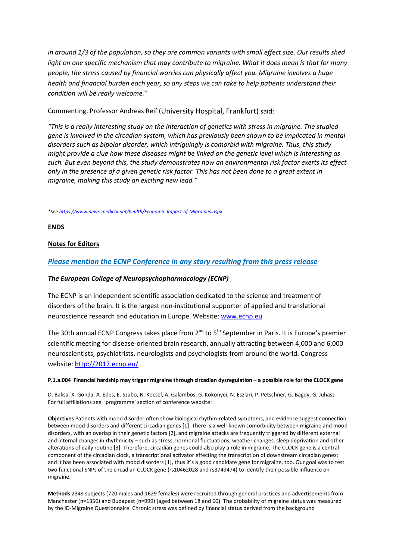*in around 1/3 of the population, so they are common variants with small effect size. Our results shed light on one specific mechanism that may contribute to migraine. What it does mean is that for many people, the stress caused by financial worries can physically affect you. Migraine involves a huge health and financial burden each year, so any steps we can take to help patients understand their condition will be really welcome."* 

#### Commenting, Professor Andreas Reif (University Hospital, Frankfurt) said:

*"This is a really interesting study on the interaction of genetics with stress in migraine. The studied gene is involved in the circadian system, which has previously been shown to be implicated in mental disorders such as bipolar disorder, which intriguingly is comorbid with migraine. Thus, this study might provide a clue how these diseases might be linked on the genetic level which is interesting as such. But even beyond this, the study demonstrates how an environmental risk factor exerts its effect only in the presence of a given genetic risk factor. This has not been done to a great extent in migraine, making this study an exciting new lead."*

*\*Se[e https://www.news-medical.net/health/Economic-Impact-of-Migraines.aspx](https://www.news-medical.net/health/Economic-Impact-of-Migraines.aspx)*

**ENDS**

### **Notes for Editors**

### *Please mention the ECNP Conference in any story resulting from this press release*

#### *The European College of Neuropsychopharmacology (ECNP)*

The ECNP is an independent scientific association dedicated to the science and treatment of disorders of the brain. It is the largest non-institutional supporter of applied and translational neuroscience research and education in Europe. Website: [www.ecnp.eu](http://www.ecnp.eu/)

The 30th annual ECNP Congress takes place from 2<sup>nd</sup> to 5<sup>th</sup> September in Paris. It is Europe's premier scientific meeting for disease-oriented brain research, annually attracting between 4,000 and 6,000 neuroscientists, psychiatrists, neurologists and psychologists from around the world. Congress website[: http://2017.ecnp.eu/](http://2017.ecnp.eu/)

#### **P.1.a.004 Financial hardship may trigger migraine through circadian dysregulation – a possible role for the CLOCK gene**

D. Baksa, X. Gonda, A. Edes, E. Szabo, N. Kocsel, A. Galambos, G. Kokonyei, N. Eszlari, P. Petschner, G. Bagdy, G. Juhasz For full affiliations see 'programme' section of conference website:

**Objectives** Patients with mood disorder often show biological rhythm-related symptoms, and evidence suggest connection between mood disorders and different circadian genes [1]. There is a well-known comorbidity between migraine and mood disorders, with an overlap in their genetic factors [2], and migraine attacks are frequently triggered by different external and internal changes in rhythmicity – such as stress, hormonal fluctuations, weather changes, sleep deprivation and other alterations of daily routine [3]. Therefore, circadian genes could also play a role in migraine. The CLOCK gene is a central component of the circadian clock, a transcriptional activator effecting the transcription of downstream circadian genes; and it has been associated with mood disorders [1], thus it's a good candidate gene for migraine, too. Our goal was to test two functional SNPs of the circadian CLOCK gene (rs10462028 and rs3749474) to identify their possible influence on migraine.

**Methods** 2349 subjects (720 males and 1629 females) were recruited through general practices and advertisements from Manchester (n=1350) and Budapest (n=999) (aged between 18 and 60). The probability of migraine status was measured by the ID-Migraine Questionnaire. Chronic stress was defined by financial status derived from the background